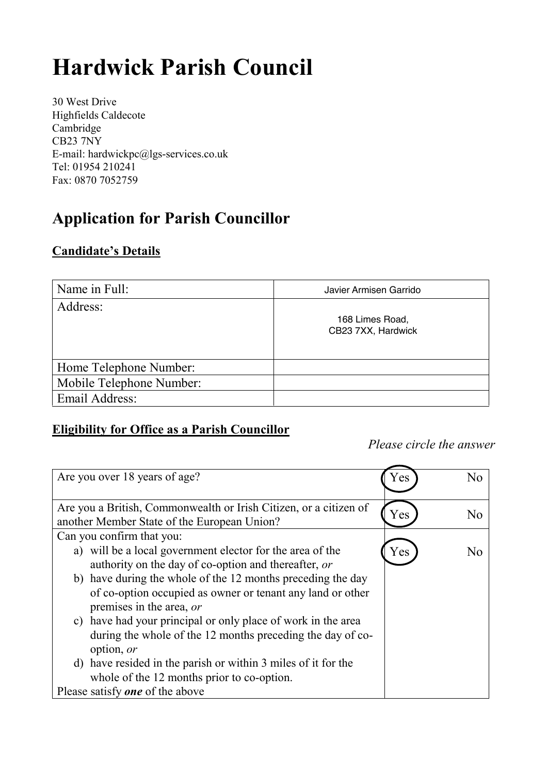# **Hardwick Parish Council**

30 West Drive Highfields Caldecote Cambridge CB23 7NY E-mail: hardwickpc@lgs-services.co.uk Tel: 01954 210241 Fax: 0870 7052759

# **Application for Parish Councillor**

#### **Candidate's Details**

| Name in Full:            | Javier Armisen Garrido                |
|--------------------------|---------------------------------------|
| Address:                 | 168 Limes Road,<br>CB23 7XX, Hardwick |
| Home Telephone Number:   |                                       |
| Mobile Telephone Number: |                                       |
| Email Address:           |                                       |

## **Eligibility for Office as a Parish Councillor**

*Please circle the answer*

| Are you over 18 years of age?                                     | r es | Nο |
|-------------------------------------------------------------------|------|----|
| Are you a British, Commonwealth or Irish Citizen, or a citizen of | Yes  | No |
| another Member State of the European Union?                       |      |    |
| Can you confirm that you:                                         |      |    |
| a) will be a local government elector for the area of the         | Yes  | N٥ |
| authority on the day of co-option and thereafter, or              |      |    |
| b) have during the whole of the 12 months preceding the day       |      |    |
| of co-option occupied as owner or tenant any land or other        |      |    |
| premises in the area, or                                          |      |    |
| c) have had your principal or only place of work in the area      |      |    |
| during the whole of the 12 months preceding the day of co-        |      |    |
| option, or                                                        |      |    |
| d) have resided in the parish or within 3 miles of it for the     |      |    |
| whole of the 12 months prior to co-option.                        |      |    |
| Please satisfy <b>one</b> of the above                            |      |    |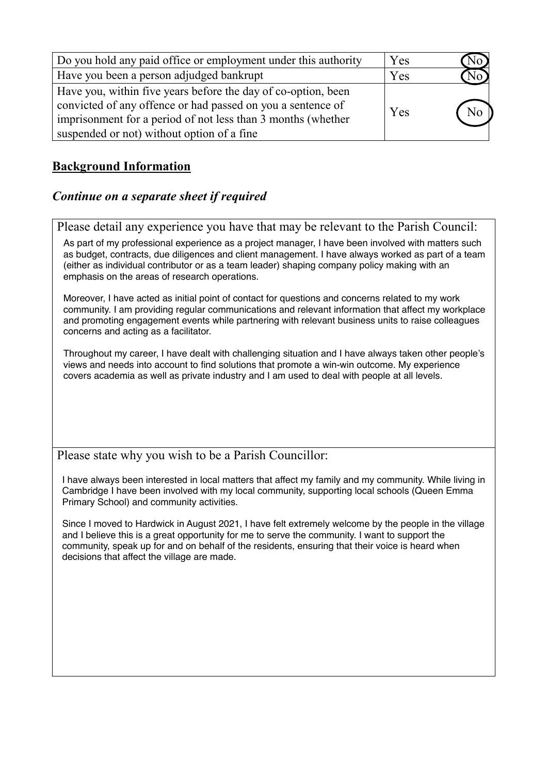| Do you hold any paid office or employment under this authority                                                                                                                               | Yes | N٥                    |
|----------------------------------------------------------------------------------------------------------------------------------------------------------------------------------------------|-----|-----------------------|
| Have you been a person adjudged bankrupt                                                                                                                                                     | Yes | $\overline{\sqrt{0}}$ |
| Have you, within five years before the day of co-option, been<br>convicted of any offence or had passed on you a sentence of<br>imprisonment for a period of not less than 3 months (whether | Yes | N <sub>o</sub>        |
| suspended or not) without option of a fine                                                                                                                                                   |     |                       |

## **Background Information**

#### *Continue on a separate sheet if required*

Please detail any experience you have that may be relevant to the Parish Council:

As part of my professional experience as a project manager, I have been involved with matters such as budget, contracts, due diligences and client management. I have always worked as part of a team (either as individual contributor or as a team leader) shaping company policy making with an emphasis on the areas of research operations.

Moreover, I have acted as initial point of contact for questions and concerns related to my work community. I am providing regular communications and relevant information that affect my workplace and promoting engagement events while partnering with relevant business units to raise colleagues concerns and acting as a facilitator.

Throughout my career, I have dealt with challenging situation and I have always taken other people's views and needs into account to find solutions that promote a win-win outcome. My experience covers academia as well as private industry and I am used to deal with people at all levels.

Please state why you wish to be a Parish Councillor:

I have always been interested in local matters that affect my family and my community. While living in Cambridge I have been involved with my local community, supporting local schools (Queen Emma Primary School) and community activities.

Since I moved to Hardwick in August 2021, I have felt extremely welcome by the people in the village and I believe this is a great opportunity for me to serve the community. I want to support the community, speak up for and on behalf of the residents, ensuring that their voice is heard when decisions that affect the village are made.